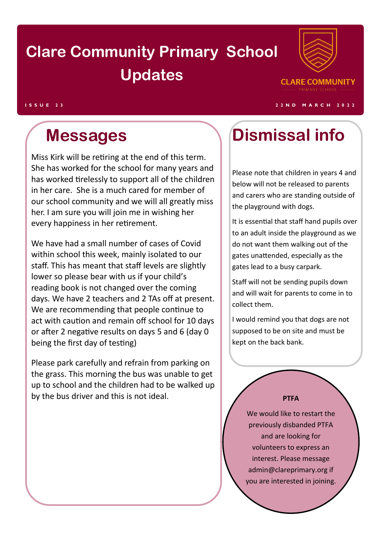# **Clare Community Primary School Updates**



### **I S S U E 2 3 2 2 N D M A R C H 2 0 2 2**

Miss Kirk will be retiring at the end of this term. She has worked for the school for many years and has worked tirelessly to support all of the children in her care. She is a much cared for member of our school community and we will all greatly miss her. I am sure you will join me in wishing her every happiness in her retirement.

We have had a small number of cases of Covid within school this week, mainly isolated to our staff. This has meant that staff levels are slightly lower so please bear with us if your child's reading book is not changed over the coming days. We have 2 teachers and 2 TAs off at present. We are recommending that people continue to act with caution and remain off school for 10 days or after 2 negative results on days 5 and 6 (day 0 being the first day of testing)

Please park carefully and refrain from parking on the grass. This morning the bus was unable to get up to school and the children had to be walked up by the bus driver and this is not ideal.

## **Messages Dismissal info**

Please note that children in years 4 and below will not be released to parents and carers who are standing outside of the playground with dogs.

It is essential that staff hand pupils over to an adult inside the playground as we do not want them walking out of the gates unattended, especially as the gates lead to a busy carpark.

Staff will not be sending pupils down and will wait for parents to come in to collect them.

I would remind you that dogs are not supposed to be on site and must be kept on the back bank.

### **PTFA**

We would like to restart the previously disbanded PTFA and are looking for volunteers to express an interest. Please message admin@clareprimary.org if you are interested in joining.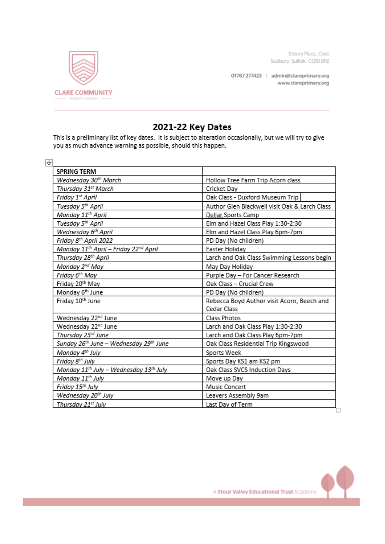Erbury Place, Clare Sudbury, Suffolk, CO10 8PZ

01787 277423 | admin@clareprimary.org www.clareprimary.org



### 2021-22 Key Dates

This is a preliminary list of key dates. It is subject to alteration occasionally, but we will try to give you as much advance warning as possible, should this happen.

| <b>SPRING TERM</b>                                             |                                               |
|----------------------------------------------------------------|-----------------------------------------------|
| Wednesday 30 <sup>th</sup> March                               | Hollow Tree Farm Trip Acorn class             |
| Thursday 31st March                                            | Cricket Day                                   |
| Friday 1st April                                               | Oak Class - Duxford Museum Trip               |
| Tuesday 5 <sup>th</sup> April                                  | Author Glen Blackwell visit Oak & Larch Class |
| Monday 11 <sup>th</sup> April                                  | <b>Dellar Sports Camp</b>                     |
| Tuesday 5 <sup>th</sup> April                                  | Elm and Hazel Class Play 1:30-2:30            |
| Wednesday 6th April                                            | Elm and Hazel Class Play 6pm-7pm              |
| Friday 8 <sup>th</sup> April 2022                              | PD Day (No children)                          |
| Monday 11 <sup>th</sup> April – Friday 22 <sup>nd</sup> April  | Easter Holiday                                |
| Thursday 28 <sup>th</sup> April                                | Larch and Oak Class Swimming Lessons begin    |
| Monday 2 <sup>nd</sup> May                                     | May Day Holiday                               |
| Friday 6 <sup>th</sup> May                                     | Purple Day - For Cancer Research              |
| Friday 20th May                                                | Oak Class - Crucial Crew                      |
| Monday 6th June                                                | PD Day (No children)                          |
| Friday 10th June                                               | Rebecca Boyd Author visit Acorn, Beech and    |
|                                                                | Cedar Class                                   |
| Wednesday 22nd June                                            | Class Photos                                  |
| Wednesday 22nd June                                            | Larch and Oak Class Play 1:30-2:30            |
| Thursday 23 <sup>rd</sup> June                                 | Larch and Oak Class Play 6pm-7pm              |
| Sunday 26 <sup>th</sup> June – Wednesday 29 <sup>th</sup> June | Oak Class Residential Trip Kingswood          |
| Monday 4 <sup>th</sup> July                                    | Sports Week                                   |
| Friday 8 <sup>th</sup> July                                    | Sports Day KS1 am KS2 pm                      |
| Monday 11 <sup>th</sup> July - Wednesday 13 <sup>th</sup> July | Oak Class SVCS Induction Days                 |
| Monday 11 <sup>th</sup> July                                   | Move up Day                                   |
| Friday 15 <sup>th</sup> July                                   | Music Concert                                 |
| Wednesday 20 <sup>th</sup> July                                | Leavers Assembly 9am                          |
| Thursday 21st July                                             | Last Day of Term                              |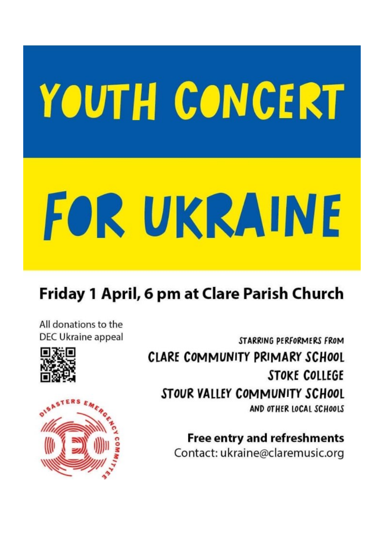# YOUTH CONCERT

# FOR UKRAINE

## Friday 1 April, 6 pm at Clare Parish Church

All donations to the DEC Ukraine appeal





**Free entry and refreshments** Contact: ukraine@claremusic.org